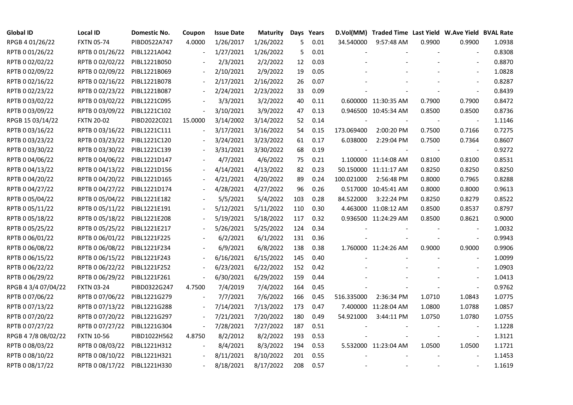| <b>Global ID</b>    | <b>Local ID</b>   | Domestic No. | Coupon                   | <b>Issue Date</b> | <b>Maturity</b> |     | Days Years |            | D.Vol(MM) Traded Time Last Yield W.Ave Yield BVAL Rate |        |                          |        |
|---------------------|-------------------|--------------|--------------------------|-------------------|-----------------|-----|------------|------------|--------------------------------------------------------|--------|--------------------------|--------|
| RPGB 4 01/26/22     | <b>FXTN 05-74</b> | PIBD0522A747 | 4.0000                   | 1/26/2017         | 1/26/2022       | 5   | 0.01       | 34.540000  | 9:57:48 AM                                             | 0.9900 | 0.9900                   | 1.0938 |
| RPTB 0 01/26/22     | RPTB 0 01/26/22   | PIBL1221A042 |                          | 1/27/2021         | 1/26/2022       | 5.  | 0.01       |            |                                                        |        |                          | 0.8308 |
| RPTB 0 02/02/22     | RPTB 0 02/02/22   | PIBL1221B050 |                          | 2/3/2021          | 2/2/2022        | 12  | 0.03       |            |                                                        |        |                          | 0.8870 |
| RPTB 0 02/09/22     | RPTB 0 02/09/22   | PIBL1221B069 | $\blacksquare$           | 2/10/2021         | 2/9/2022        | 19  | 0.05       |            |                                                        |        | $\sim$                   | 1.0828 |
| RPTB 0 02/16/22     | RPTB 0 02/16/22   | PIBL1221B078 | $\blacksquare$           | 2/17/2021         | 2/16/2022       | 26  | 0.07       |            |                                                        |        | $\overline{\phantom{a}}$ | 0.8287 |
| RPTB 0 02/23/22     | RPTB 0 02/23/22   | PIBL1221B087 |                          | 2/24/2021         | 2/23/2022       | 33  | 0.09       |            |                                                        |        |                          | 0.8439 |
| RPTB 0 03/02/22     | RPTB 0 03/02/22   | PIBL1221C095 |                          | 3/3/2021          | 3/2/2022        | 40  | 0.11       |            | 0.600000 11:30:35 AM                                   | 0.7900 | 0.7900                   | 0.8472 |
| RPTB 0 03/09/22     | RPTB 0 03/09/22   | PIBL1221C102 | $\overline{\phantom{a}}$ | 3/10/2021         | 3/9/2022        | 47  | 0.13       |            | 0.946500 10:45:34 AM                                   | 0.8500 | 0.8500                   | 0.8736 |
| RPGB 15 03/14/22    | <b>FXTN 20-02</b> | PIBD2022C021 | 15.0000                  | 3/14/2002         | 3/14/2022       | 52  | 0.14       |            |                                                        |        |                          | 1.1146 |
| RPTB 0 03/16/22     | RPTB 0 03/16/22   | PIBL1221C111 |                          | 3/17/2021         | 3/16/2022       | 54  | 0.15       | 173.069400 | 2:00:20 PM                                             | 0.7500 | 0.7166                   | 0.7275 |
| RPTB 0 03/23/22     | RPTB 0 03/23/22   | PIBL1221C120 | $\overline{\phantom{a}}$ | 3/24/2021         | 3/23/2022       | 61  | 0.17       | 6.038000   | 2:29:04 PM                                             | 0.7500 | 0.7364                   | 0.8607 |
| RPTB 0 03/30/22     | RPTB 0 03/30/22   | PIBL1221C139 |                          | 3/31/2021         | 3/30/2022       | 68  | 0.19       |            |                                                        |        | $\overline{\phantom{a}}$ | 0.9272 |
| RPTB 0 04/06/22     | RPTB 0 04/06/22   | PIBL1221D147 |                          | 4/7/2021          | 4/6/2022        | 75  | 0.21       |            | 1.100000 11:14:08 AM                                   | 0.8100 | 0.8100                   | 0.8531 |
| RPTB 0 04/13/22     | RPTB 0 04/13/22   | PIBL1221D156 |                          | 4/14/2021         | 4/13/2022       | 82  | 0.23       |            | 50.150000 11:11:17 AM                                  | 0.8250 | 0.8250                   | 0.8250 |
| RPTB 0 04/20/22     | RPTB 0 04/20/22   | PIBL1221D165 |                          | 4/21/2021         | 4/20/2022       | 89  | 0.24       | 100.021000 | 2:56:48 PM                                             | 0.8000 | 0.7965                   | 0.8288 |
| RPTB 0 04/27/22     | RPTB 0 04/27/22   | PIBL1221D174 |                          | 4/28/2021         | 4/27/2022       | 96  | 0.26       |            | 0.517000 10:45:41 AM                                   | 0.8000 | 0.8000                   | 0.9613 |
| RPTB 0 05/04/22     | RPTB 0 05/04/22   | PIBL1221E182 |                          | 5/5/2021          | 5/4/2022        | 103 | 0.28       | 84.522000  | 3:22:24 PM                                             | 0.8250 | 0.8279                   | 0.8522 |
| RPTB 0 05/11/22     | RPTB 0 05/11/22   | PIBL1221E191 | $\overline{\phantom{a}}$ | 5/12/2021         | 5/11/2022       | 110 | 0.30       |            | 4.463000 11:08:12 AM                                   | 0.8500 | 0.8537                   | 0.8797 |
| RPTB 0 05/18/22     | RPTB 0 05/18/22   | PIBL1221E208 |                          | 5/19/2021         | 5/18/2022       | 117 | 0.32       |            | 0.936500 11:24:29 AM                                   | 0.8500 | 0.8621                   | 0.9000 |
| RPTB 0 05/25/22     | RPTB 0 05/25/22   | PIBL1221E217 |                          | 5/26/2021         | 5/25/2022       | 124 | 0.34       |            |                                                        |        | $\overline{\phantom{a}}$ | 1.0032 |
| RPTB 0 06/01/22     | RPTB 0 06/01/22   | PIBL1221F225 |                          | 6/2/2021          | 6/1/2022        | 131 | 0.36       |            |                                                        |        | $\overline{\phantom{a}}$ | 0.9943 |
| RPTB 0 06/08/22     | RPTB 0 06/08/22   | PIBL1221F234 |                          | 6/9/2021          | 6/8/2022        | 138 | 0.38       |            | 1.760000 11:24:26 AM                                   | 0.9000 | 0.9000                   | 0.9906 |
| RPTB 0 06/15/22     | RPTB 0 06/15/22   | PIBL1221F243 |                          | 6/16/2021         | 6/15/2022       | 145 | 0.40       |            |                                                        |        |                          | 1.0099 |
| RPTB 0 06/22/22     | RPTB 0 06/22/22   | PIBL1221F252 |                          | 6/23/2021         | 6/22/2022       | 152 | 0.42       |            |                                                        |        |                          | 1.0903 |
| RPTB 0 06/29/22     | RPTB 0 06/29/22   | PIBL1221F261 | $\blacksquare$           | 6/30/2021         | 6/29/2022       | 159 | 0.44       |            |                                                        |        |                          | 1.0413 |
| RPGB 4 3/4 07/04/22 | <b>FXTN 03-24</b> | PIBD0322G247 | 4.7500                   | 7/4/2019          | 7/4/2022        | 164 | 0.45       |            |                                                        |        | $\blacksquare$           | 0.9762 |
| RPTB 0 07/06/22     | RPTB 0 07/06/22   | PIBL1221G279 |                          | 7/7/2021          | 7/6/2022        | 166 | 0.45       | 516.335000 | 2:36:34 PM                                             | 1.0710 | 1.0843                   | 1.0775 |
| RPTB 0 07/13/22     | RPTB 0 07/13/22   | PIBL1221G288 | $\blacksquare$           | 7/14/2021         | 7/13/2022       | 173 | 0.47       |            | 7.400000 11:28:04 AM                                   | 1.0800 | 1.0788                   | 1.0857 |
| RPTB 0 07/20/22     | RPTB 0 07/20/22   | PIBL1221G297 |                          | 7/21/2021         | 7/20/2022       | 180 | 0.49       | 54.921000  | 3:44:11 PM                                             | 1.0750 | 1.0780                   | 1.0755 |
| RPTB 0 07/27/22     | RPTB 0 07/27/22   | PIBL1221G304 |                          | 7/28/2021         | 7/27/2022       | 187 | 0.51       |            |                                                        |        |                          | 1.1228 |
| RPGB 4 7/8 08/02/22 | <b>FXTN 10-56</b> | PIBD1022H562 | 4.8750                   | 8/2/2012          | 8/2/2022        | 193 | 0.53       |            |                                                        |        | $\overline{\phantom{a}}$ | 1.3121 |
| RPTB 0 08/03/22     | RPTB 0 08/03/22   | PIBL1221H312 |                          | 8/4/2021          | 8/3/2022        | 194 | 0.53       |            | 5.532000 11:23:04 AM                                   | 1.0500 | 1.0500                   | 1.1721 |
| RPTB 0 08/10/22     | RPTB 0 08/10/22   | PIBL1221H321 |                          | 8/11/2021         | 8/10/2022       | 201 | 0.55       |            |                                                        |        |                          | 1.1453 |
| RPTB 0 08/17/22     | RPTB 0 08/17/22   | PIBL1221H330 |                          | 8/18/2021         | 8/17/2022       | 208 | 0.57       |            |                                                        |        |                          | 1.1619 |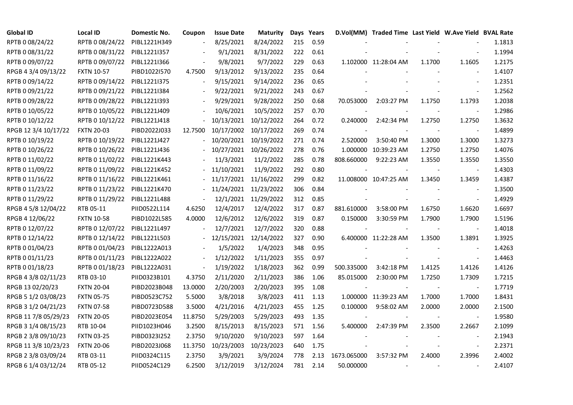| <b>Global ID</b>     | <b>Local ID</b>   | Domestic No. | Coupon                   | <b>Issue Date</b>     | Maturity             |     | Days Years |             | D.Vol(MM) Traded Time Last Yield W.Ave Yield BVAL Rate |        |                          |        |
|----------------------|-------------------|--------------|--------------------------|-----------------------|----------------------|-----|------------|-------------|--------------------------------------------------------|--------|--------------------------|--------|
| RPTB 0 08/24/22      | RPTB 0 08/24/22   | PIBL1221H349 |                          | 8/25/2021             | 8/24/2022            | 215 | 0.59       |             |                                                        |        |                          | 1.1813 |
| RPTB 0 08/31/22      | RPTB 0 08/31/22   | PIBL1221I357 |                          | 9/1/2021              | 8/31/2022            | 222 | 0.61       |             |                                                        |        |                          | 1.1994 |
| RPTB 0 09/07/22      | RPTB 0 09/07/22   | PIBL1221I366 | $\overline{\phantom{a}}$ | 9/8/2021              | 9/7/2022             | 229 | 0.63       |             | 1.102000 11:28:04 AM                                   | 1.1700 | 1.1605                   | 1.2175 |
| RPGB 4 3/4 09/13/22  | <b>FXTN 10-57</b> | PIBD1022I570 | 4.7500                   | 9/13/2012             | 9/13/2022            | 235 | 0.64       |             |                                                        |        | $\blacksquare$           | 1.4107 |
| RPTB 0 09/14/22      | RPTB 0 09/14/22   | PIBL1221I375 | $\blacksquare$           | 9/15/2021             | 9/14/2022            | 236 | 0.65       |             |                                                        |        | $\blacksquare$           | 1.2351 |
| RPTB 0 09/21/22      | RPTB 0 09/21/22   | PIBL1221I384 |                          | 9/22/2021             | 9/21/2022            | 243 | 0.67       |             |                                                        |        | $\Box$                   | 1.2562 |
| RPTB 0 09/28/22      | RPTB 0 09/28/22   | PIBL1221I393 |                          | 9/29/2021             | 9/28/2022            | 250 | 0.68       | 70.053000   | 2:03:27 PM                                             | 1.1750 | 1.1793                   | 1.2038 |
| RPTB 0 10/05/22      | RPTB 0 10/05/22   | PIBL1221J409 |                          | 10/6/2021             | 10/5/2022            | 257 | 0.70       |             |                                                        |        | $\sim$                   | 1.2986 |
| RPTB 0 10/12/22      | RPTB 0 10/12/22   | PIBL1221J418 |                          | 10/13/2021            | 10/12/2022           | 264 | 0.72       | 0.240000    | 2:42:34 PM                                             | 1.2750 | 1.2750                   | 1.3632 |
| RPGB 12 3/4 10/17/22 | <b>FXTN 20-03</b> | PIBD2022J033 | 12.7500                  | 10/17/2002            | 10/17/2022           | 269 | 0.74       |             |                                                        |        |                          | 1.4899 |
| RPTB 0 10/19/22      | RPTB 0 10/19/22   | PIBL1221J427 |                          | 10/20/2021            | 10/19/2022           | 271 | 0.74       | 2.520000    | 3:50:40 PM                                             | 1.3000 | 1.3000                   | 1.3273 |
| RPTB 0 10/26/22      | RPTB 0 10/26/22   | PIBL1221J436 |                          | 10/27/2021            | 10/26/2022           | 278 | 0.76       |             | 1.000000 10:39:23 AM                                   | 1.2750 | 1.2750                   | 1.4076 |
| RPTB 0 11/02/22      | RPTB 0 11/02/22   | PIBL1221K443 |                          | 11/3/2021             | 11/2/2022            | 285 | 0.78       | 808.660000  | 9:22:23 AM                                             | 1.3550 | 1.3550                   | 1.3550 |
| RPTB 0 11/09/22      | RPTB 0 11/09/22   | PIBL1221K452 |                          | 11/10/2021            | 11/9/2022            | 292 | 0.80       |             |                                                        |        | $\blacksquare$           | 1.4303 |
| RPTB 0 11/16/22      | RPTB 0 11/16/22   | PIBL1221K461 |                          | 11/17/2021            | 11/16/2022           | 299 | 0.82       |             | 11.008000 10:47:25 AM                                  | 1.3450 | 1.3459                   | 1.4387 |
| RPTB 0 11/23/22      | RPTB 0 11/23/22   | PIBL1221K470 |                          | 11/24/2021            | 11/23/2022           | 306 | 0.84       |             |                                                        |        |                          | 1.3500 |
| RPTB 0 11/29/22      | RPTB 0 11/29/22   | PIBL1221L488 |                          |                       | 12/1/2021 11/29/2022 | 312 | 0.85       |             |                                                        |        | $\blacksquare$           | 1.4929 |
| RPGB 4 5/8 12/04/22  | RTB 05-11         | PIID0522L114 | 4.6250                   | 12/4/2017             | 12/4/2022            | 317 | 0.87       | 881.610000  | 3:58:00 PM                                             | 1.6750 | 1.6620                   | 1.6697 |
| RPGB 4 12/06/22      | <b>FXTN 10-58</b> | PIBD1022L585 | 4.0000                   | 12/6/2012             | 12/6/2022            | 319 | 0.87       | 0.150000    | 3:30:59 PM                                             | 1.7900 | 1.7900                   | 1.5196 |
| RPTB 0 12/07/22      | RPTB 0 12/07/22   | PIBL1221L497 |                          | 12/7/2021             | 12/7/2022            | 320 | 0.88       |             |                                                        |        | $\blacksquare$           | 1.4018 |
| RPTB 0 12/14/22      | RPTB 0 12/14/22   | PIBL1221L503 | $\overline{\phantom{a}}$ | 12/15/2021 12/14/2022 |                      | 327 | 0.90       |             | 6.400000 11:22:28 AM                                   | 1.3500 | 1.3891                   | 1.3925 |
| RPTB 0 01/04/23      | RPTB 0 01/04/23   | PIBL1222A013 |                          | 1/5/2022              | 1/4/2023             | 348 | 0.95       |             |                                                        |        | $\blacksquare$           | 1.4263 |
| RPTB 0 01/11/23      | RPTB 0 01/11/23   | PIBL1222A022 |                          | 1/12/2022             | 1/11/2023            | 355 | 0.97       |             |                                                        |        | $\blacksquare$           | 1.4463 |
| RPTB 0 01/18/23      | RPTB 0 01/18/23   | PIBL1222A031 | $\blacksquare$           | 1/19/2022             | 1/18/2023            | 362 | 0.99       | 500.335000  | 3:42:18 PM                                             | 1.4125 | 1.4126                   | 1.4126 |
| RPGB 4 3/8 02/11/23  | RTB 03-10         | PIID0323B101 | 4.3750                   | 2/11/2020             | 2/11/2023            | 386 | 1.06       | 85.015000   | 2:30:00 PM                                             | 1.7250 | 1.7309                   | 1.7215 |
| RPGB 13 02/20/23     | <b>FXTN 20-04</b> | PIBD2023B048 | 13.0000                  | 2/20/2003             | 2/20/2023            | 395 | 1.08       |             |                                                        |        |                          | 1.7719 |
| RPGB 5 1/2 03/08/23  | <b>FXTN 05-75</b> | PIBD0523C752 | 5.5000                   | 3/8/2018              | 3/8/2023             | 411 | 1.13       |             | 1.000000 11:39:23 AM                                   | 1.7000 | 1.7000                   | 1.8431 |
| RPGB 3 1/2 04/21/23  | <b>FXTN 07-58</b> | PIBD0723D588 | 3.5000                   | 4/21/2016             | 4/21/2023            | 455 | 1.25       | 0.100000    | 9:58:02 AM                                             | 2.0000 | 2.0000                   | 2.1500 |
| RPGB 11 7/8 05/29/23 | <b>FXTN 20-05</b> | PIBD2023E054 | 11.8750                  | 5/29/2003             | 5/29/2023            | 493 | 1.35       |             |                                                        |        | $\overline{\phantom{a}}$ | 1.9580 |
| RPGB 3 1/4 08/15/23  | RTB 10-04         | PIID1023H046 | 3.2500                   | 8/15/2013             | 8/15/2023            | 571 | 1.56       | 5.400000    | 2:47:39 PM                                             | 2.3500 | 2.2667                   | 2.1099 |
| RPGB 2 3/8 09/10/23  | <b>FXTN 03-25</b> | PIBD0323I252 | 2.3750                   | 9/10/2020             | 9/10/2023            | 597 | 1.64       |             |                                                        |        |                          | 2.1943 |
| RPGB 11 3/8 10/23/23 | <b>FXTN 20-06</b> | PIBD2023J068 | 11.3750                  | 10/23/2003            | 10/23/2023           | 640 | 1.75       |             |                                                        |        | $\blacksquare$           | 2.2371 |
| RPGB 2 3/8 03/09/24  | RTB 03-11         | PIID0324C115 | 2.3750                   | 3/9/2021              | 3/9/2024             | 778 | 2.13       | 1673.065000 | 3:57:32 PM                                             | 2.4000 | 2.3996                   | 2.4002 |
| RPGB 6 1/4 03/12/24  | RTB 05-12         | PIID0524C129 | 6.2500                   | 3/12/2019             | 3/12/2024            | 781 | 2.14       | 50.000000   |                                                        |        |                          | 2.4107 |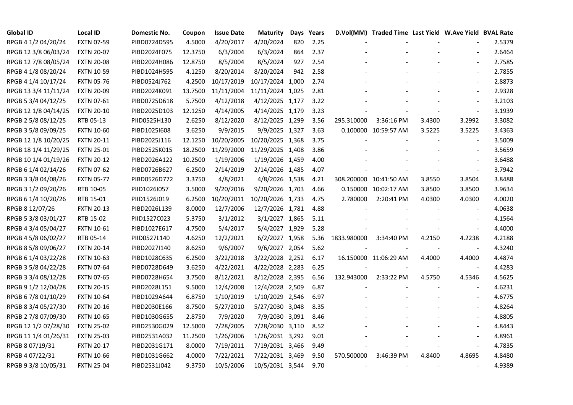| <b>Global ID</b>     | <b>Local ID</b>   | Domestic No. | Coupon  | <b>Issue Date</b> | <b>Maturity</b>  | Days | Years |             | D.Vol(MM) Traded Time Last Yield W.Ave Yield BVAL Rate |                          |                          |        |
|----------------------|-------------------|--------------|---------|-------------------|------------------|------|-------|-------------|--------------------------------------------------------|--------------------------|--------------------------|--------|
| RPGB 4 1/2 04/20/24  | <b>FXTN 07-59</b> | PIBD0724D595 | 4.5000  | 4/20/2017         | 4/20/2024        | 820  | 2.25  |             |                                                        |                          |                          | 2.5379 |
| RPGB 12 3/8 06/03/24 | <b>FXTN 20-07</b> | PIBD2024F075 | 12.3750 | 6/3/2004          | 6/3/2024         | 864  | 2.37  |             |                                                        |                          |                          | 2.6464 |
| RPGB 12 7/8 08/05/24 | <b>FXTN 20-08</b> | PIBD2024H086 | 12.8750 | 8/5/2004          | 8/5/2024         | 927  | 2.54  |             |                                                        |                          |                          | 2.7585 |
| RPGB 4 1/8 08/20/24  | <b>FXTN 10-59</b> | PIBD1024H595 | 4.1250  | 8/20/2014         | 8/20/2024        | 942  | 2.58  |             |                                                        |                          | $\sim$                   | 2.7855 |
| RPGB 4 1/4 10/17/24  | <b>FXTN 05-76</b> | PIBD0524J762 | 4.2500  | 10/17/2019        | 10/17/2024 1,000 |      | 2.74  |             |                                                        |                          | $\overline{\phantom{a}}$ | 2.8873 |
| RPGB 13 3/4 11/11/24 | <b>FXTN 20-09</b> | PIBD2024K091 | 13.7500 | 11/11/2004        | 11/11/2024 1,025 |      | 2.81  |             |                                                        |                          | $\blacksquare$           | 2.9328 |
| RPGB 5 3/4 04/12/25  | <b>FXTN 07-61</b> | PIBD0725D618 | 5.7500  | 4/12/2018         | 4/12/2025 1,177  |      | 3.22  |             |                                                        |                          | $\blacksquare$           | 3.2103 |
| RPGB 12 1/8 04/14/25 | <b>FXTN 20-10</b> | PIBD2025D103 | 12.1250 | 4/14/2005         | 4/14/2025 1,179  |      | 3.23  |             |                                                        |                          | $\sim$                   | 3.1939 |
| RPGB 2 5/8 08/12/25  | RTB 05-13         | PIID0525H130 | 2.6250  | 8/12/2020         | 8/12/2025 1,299  |      | 3.56  | 295.310000  | 3:36:16 PM                                             | 3.4300                   | 3.2992                   | 3.3082 |
| RPGB 3 5/8 09/09/25  | <b>FXTN 10-60</b> | PIBD10251608 | 3.6250  | 9/9/2015          | 9/9/2025 1,327   |      | 3.63  |             | 0.100000 10:59:57 AM                                   | 3.5225                   | 3.5225                   | 3.4363 |
| RPGB 12 1/8 10/20/25 | <b>FXTN 20-11</b> | PIBD2025J116 | 12.1250 | 10/20/2005        | 10/20/2025 1,368 |      | 3.75  |             |                                                        |                          | $\overline{\phantom{a}}$ | 3.5009 |
| RPGB 18 1/4 11/29/25 | <b>FXTN 25-01</b> | PIBD2525K015 | 18.2500 | 11/29/2000        | 11/29/2025 1,408 |      | 3.86  |             |                                                        |                          | $\sim$                   | 3.5659 |
| RPGB 10 1/4 01/19/26 | <b>FXTN 20-12</b> | PIBD2026A122 | 10.2500 | 1/19/2006         | 1/19/2026 1,459  |      | 4.00  |             |                                                        |                          |                          | 3.6488 |
| RPGB 6 1/4 02/14/26  | <b>FXTN 07-62</b> | PIBD0726B627 | 6.2500  | 2/14/2019         | 2/14/2026 1,485  |      | 4.07  |             |                                                        |                          | $\blacksquare$           | 3.7942 |
| RPGB 3 3/8 04/08/26  | <b>FXTN 05-77</b> | PIBD0526D772 | 3.3750  | 4/8/2021          | 4/8/2026 1,538   |      | 4.21  |             | 308.200000 10:41:50 AM                                 | 3.8550                   | 3.8504                   | 3.8488 |
| RPGB 3 1/2 09/20/26  | RTB 10-05         | PIID1026I057 | 3.5000  | 9/20/2016         | 9/20/2026 1,703  |      | 4.66  |             | 0.150000 10:02:17 AM                                   | 3.8500                   | 3.8500                   | 3.9634 |
| RPGB 6 1/4 10/20/26  | RTB 15-01         | PIID1526J019 | 6.2500  | 10/20/2011        | 10/20/2026 1,733 |      | 4.75  | 2.780000    | 2:20:41 PM                                             | 4.0300                   | 4.0300                   | 4.0020 |
| RPGB 8 12/07/26      | <b>FXTN 20-13</b> | PIBD2026L139 | 8.0000  | 12/7/2006         | 12/7/2026 1,781  |      | 4.88  |             |                                                        |                          | $\blacksquare$           | 4.0638 |
| RPGB 5 3/8 03/01/27  | RTB 15-02         | PIID1527C023 | 5.3750  | 3/1/2012          | 3/1/2027 1,865   |      | 5.11  |             |                                                        |                          | $\blacksquare$           | 4.1564 |
| RPGB 4 3/4 05/04/27  | <b>FXTN 10-61</b> | PIBD1027E617 | 4.7500  | 5/4/2017          | 5/4/2027 1,929   |      | 5.28  |             |                                                        |                          | $\sim$                   | 4.4000 |
| RPGB 4 5/8 06/02/27  | RTB 05-14         | PIID0527L140 | 4.6250  | 12/2/2021         | 6/2/2027 1,958   |      | 5.36  | 1833.980000 | 3:34:40 PM                                             | 4.2150                   | 4.2238                   | 4.2188 |
| RPGB 8 5/8 09/06/27  | <b>FXTN 20-14</b> | PIBD2027I140 | 8.6250  | 9/6/2007          | 9/6/2027 2,054   |      | 5.62  |             |                                                        | $\overline{\phantom{a}}$ | $\overline{\phantom{a}}$ | 4.3240 |
| RPGB 6 1/4 03/22/28  | <b>FXTN 10-63</b> | PIBD1028C635 | 6.2500  | 3/22/2018         | 3/22/2028 2,252  |      | 6.17  |             | 16.150000 11:06:29 AM                                  | 4.4000                   | 4.4000                   | 4.4874 |
| RPGB 3 5/8 04/22/28  | <b>FXTN 07-64</b> | PIBD0728D649 | 3.6250  | 4/22/2021         | 4/22/2028 2,283  |      | 6.25  |             |                                                        |                          | $\overline{\phantom{a}}$ | 4.4283 |
| RPGB 3 3/4 08/12/28  | <b>FXTN 07-65</b> | PIBD0728H654 | 3.7500  | 8/12/2021         | 8/12/2028 2,395  |      | 6.56  | 132.943000  | 2:33:22 PM                                             | 4.5750                   | 4.5346                   | 4.5625 |
| RPGB 9 1/2 12/04/28  | <b>FXTN 20-15</b> | PIBD2028L151 | 9.5000  | 12/4/2008         | 12/4/2028 2,509  |      | 6.87  |             |                                                        |                          | $\blacksquare$           | 4.6231 |
| RPGB 67/8 01/10/29   | <b>FXTN 10-64</b> | PIBD1029A644 | 6.8750  | 1/10/2019         | 1/10/2029 2,546  |      | 6.97  |             |                                                        |                          | $\blacksquare$           | 4.6775 |
| RPGB 8 3/4 05/27/30  | <b>FXTN 20-16</b> | PIBD2030E166 | 8.7500  | 5/27/2010         | 5/27/2030 3,048  |      | 8.35  |             |                                                        |                          |                          | 4.8264 |
| RPGB 2 7/8 07/09/30  | <b>FXTN 10-65</b> | PIBD1030G655 | 2.8750  | 7/9/2020          | 7/9/2030 3,091   |      | 8.46  |             |                                                        |                          |                          | 4.8805 |
| RPGB 12 1/2 07/28/30 | <b>FXTN 25-02</b> | PIBD2530G029 | 12.5000 | 7/28/2005         | 7/28/2030 3,110  |      | 8.52  |             |                                                        |                          |                          | 4.8443 |
| RPGB 11 1/4 01/26/31 | <b>FXTN 25-03</b> | PIBD2531A032 | 11.2500 | 1/26/2006         | 1/26/2031 3,292  |      | 9.01  |             |                                                        |                          | $\overline{a}$           | 4.8961 |
| RPGB 8 07/19/31      | <b>FXTN 20-17</b> | PIBD2031G171 | 8.0000  | 7/19/2011         | 7/19/2031 3,466  |      | 9.49  |             |                                                        |                          | $\frac{1}{2}$            | 4.7835 |
| RPGB 4 07/22/31      | <b>FXTN 10-66</b> | PIBD1031G662 | 4.0000  | 7/22/2021         | 7/22/2031 3,469  |      | 9.50  | 570.500000  | 3:46:39 PM                                             | 4.8400                   | 4.8695                   | 4.8480 |
| RPGB 9 3/8 10/05/31  | <b>FXTN 25-04</b> | PIBD2531J042 | 9.3750  | 10/5/2006         | 10/5/2031 3,544  |      | 9.70  |             |                                                        |                          | $\blacksquare$           | 4.9389 |